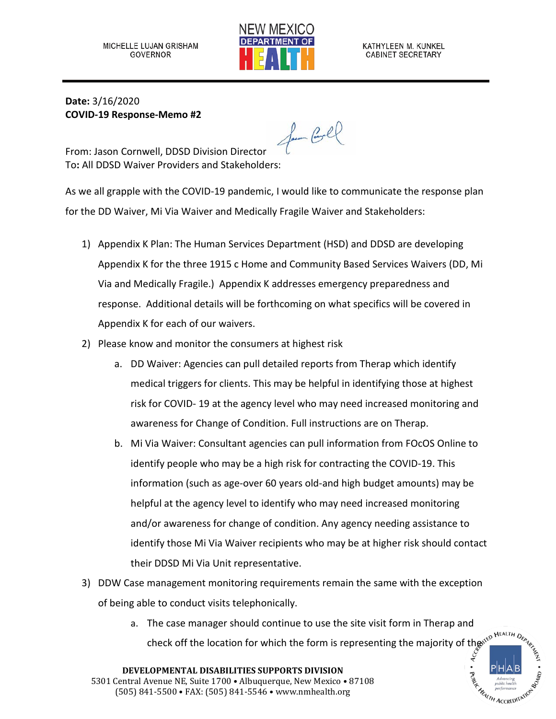

**Date:** 3/16/2020 **COVID-19 Response-Memo #2**

for Gel

From: Jason Cornwell, DDSD Division Director To**:** All DDSD Waiver Providers and Stakeholders:

As we all grapple with the COVID-19 pandemic, I would like to communicate the response plan for the DD Waiver, Mi Via Waiver and Medically Fragile Waiver and Stakeholders:

- 1) Appendix K Plan: The Human Services Department (HSD) and DDSD are developing Appendix K for the three 1915 c Home and Community Based Services Waivers (DD, Mi Via and Medically Fragile.) Appendix K addresses emergency preparedness and response. Additional details will be forthcoming on what specifics will be covered in Appendix K for each of our waivers.
- 2) Please know and monitor the consumers at highest risk
	- a. DD Waiver: Agencies can pull detailed reports from Therap which identify medical triggers for clients. This may be helpful in identifying those at highest risk for COVID- 19 at the agency level who may need increased monitoring and awareness for Change of Condition. Full instructions are on Therap.
	- b. Mi Via Waiver: Consultant agencies can pull information from FOcOS Online to identify people who may be a high risk for contracting the COVID-19. This information (such as age-over 60 years old-and high budget amounts) may be helpful at the agency level to identify who may need increased monitoring and/or awareness for change of condition. Any agency needing assistance to identify those Mi Via Waiver recipients who may be at higher risk should contact their DDSD Mi Via Unit representative.
- 3) DDW Case management monitoring requirements remain the same with the exception of being able to conduct visits telephonically.
	- a. The case manager should continue to use the site visit form in Therap and check off the location for which the form is representing the majority of the  $\int_{\zeta}^{\zeta} \int_{\zeta}^{\zeta}$

**HeALTH ACCREDITATIC**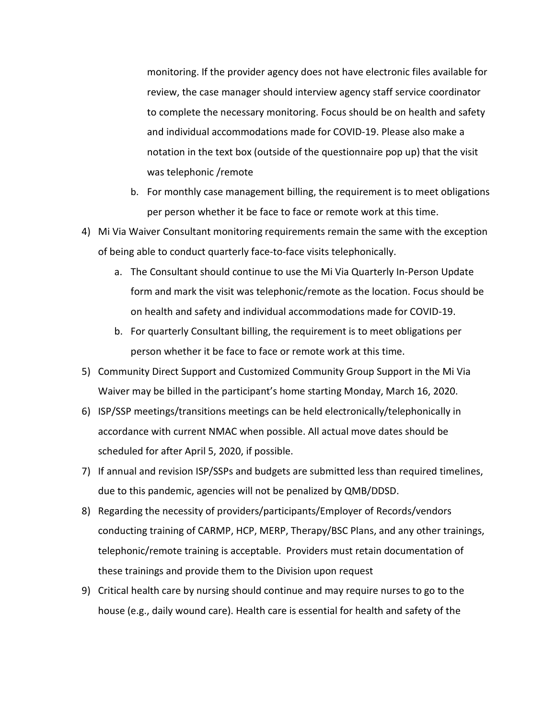monitoring. If the provider agency does not have electronic files available for review, the case manager should interview agency staff service coordinator to complete the necessary monitoring. Focus should be on health and safety and individual accommodations made for COVID-19. Please also make a notation in the text box (outside of the questionnaire pop up) that the visit was telephonic /remote

- b. For monthly case management billing, the requirement is to meet obligations per person whether it be face to face or remote work at this time.
- 4) Mi Via Waiver Consultant monitoring requirements remain the same with the exception of being able to conduct quarterly face-to-face visits telephonically.
	- a. The Consultant should continue to use the Mi Via Quarterly In-Person Update form and mark the visit was telephonic/remote as the location. Focus should be on health and safety and individual accommodations made for COVID-19.
	- b. For quarterly Consultant billing, the requirement is to meet obligations per person whether it be face to face or remote work at this time.
- 5) Community Direct Support and Customized Community Group Support in the Mi Via Waiver may be billed in the participant's home starting Monday, March 16, 2020.
- 6) ISP/SSP meetings/transitions meetings can be held electronically/telephonically in accordance with current NMAC when possible. All actual move dates should be scheduled for after April 5, 2020, if possible.
- 7) If annual and revision ISP/SSPs and budgets are submitted less than required timelines, due to this pandemic, agencies will not be penalized by QMB/DDSD.
- 8) Regarding the necessity of providers/participants/Employer of Records/vendors conducting training of CARMP, HCP, MERP, Therapy/BSC Plans, and any other trainings, telephonic/remote training is acceptable. Providers must retain documentation of these trainings and provide them to the Division upon request
- 9) Critical health care by nursing should continue and may require nurses to go to the house (e.g., daily wound care). Health care is essential for health and safety of the